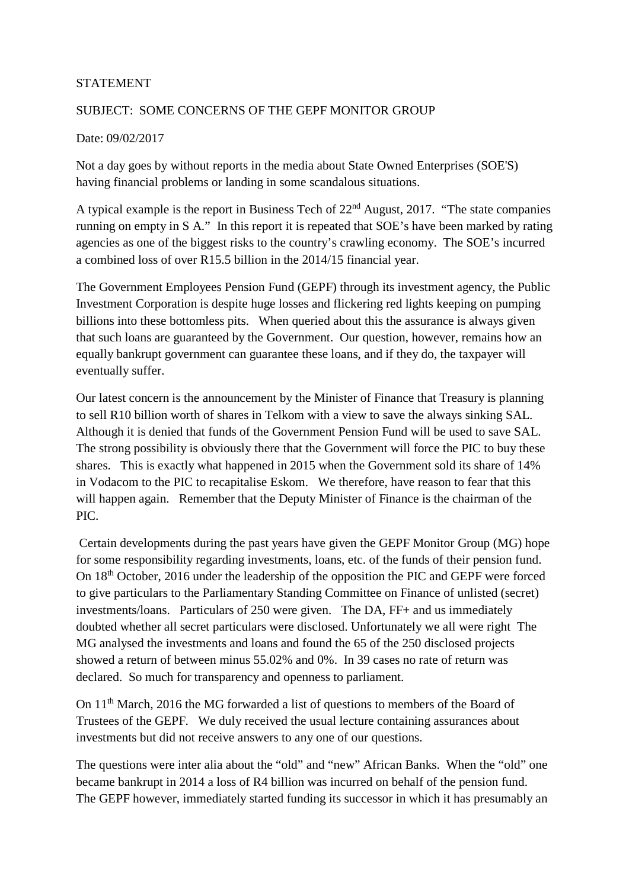## STATEMENT

## SUBJECT: SOME CONCERNS OF THE GEPF MONITOR GROUP

## Date: 09/02/2017

Not a day goes by without reports in the media about State Owned Enterprises (SOE'S) having financial problems or landing in some scandalous situations.

A typical example is the report in Business Tech of 22nd August, 2017. "The state companies running on empty in S A." In this report it is repeated that SOE's have been marked by rating agencies as one of the biggest risks to the country's crawling economy. The SOE's incurred a combined loss of over R15.5 billion in the 2014/15 financial year.

The Government Employees Pension Fund (GEPF) through its investment agency, the Public Investment Corporation is despite huge losses and flickering red lights keeping on pumping billions into these bottomless pits. When queried about this the assurance is always given that such loans are guaranteed by the Government. Our question, however, remains how an equally bankrupt government can guarantee these loans, and if they do, the taxpayer will eventually suffer.

Our latest concern is the announcement by the Minister of Finance that Treasury is planning to sell R10 billion worth of shares in Telkom with a view to save the always sinking SAL. Although it is denied that funds of the Government Pension Fund will be used to save SAL. The strong possibility is obviously there that the Government will force the PIC to buy these shares. This is exactly what happened in 2015 when the Government sold its share of 14% in Vodacom to the PIC to recapitalise Eskom. We therefore, have reason to fear that this will happen again. Remember that the Deputy Minister of Finance is the chairman of the PIC.

 Certain developments during the past years have given the GEPF Monitor Group (MG) hope for some responsibility regarding investments, loans, etc. of the funds of their pension fund. On 18th October, 2016 under the leadership of the opposition the PIC and GEPF were forced to give particulars to the Parliamentary Standing Committee on Finance of unlisted (secret) investments/loans. Particulars of 250 were given. The DA, FF+ and us immediately doubted whether all secret particulars were disclosed. Unfortunately we all were right The MG analysed the investments and loans and found the 65 of the 250 disclosed projects showed a return of between minus 55.02% and 0%. In 39 cases no rate of return was declared. So much for transparency and openness to parliament.

On 11th March, 2016 the MG forwarded a list of questions to members of the Board of Trustees of the GEPF. We duly received the usual lecture containing assurances about investments but did not receive answers to any one of our questions.

The questions were inter alia about the "old" and "new" African Banks. When the "old" one became bankrupt in 2014 a loss of R4 billion was incurred on behalf of the pension fund. The GEPF however, immediately started funding its successor in which it has presumably an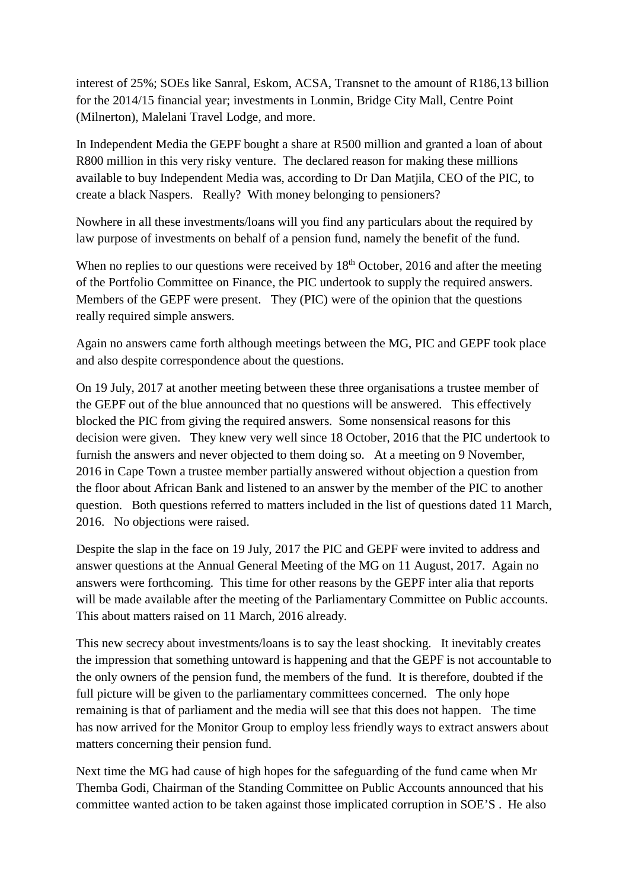interest of 25%; SOEs like Sanral, Eskom, ACSA, Transnet to the amount of R186,13 billion for the 2014/15 financial year; investments in Lonmin, Bridge City Mall, Centre Point (Milnerton), Malelani Travel Lodge, and more.

In Independent Media the GEPF bought a share at R500 million and granted a loan of about R800 million in this very risky venture. The declared reason for making these millions available to buy Independent Media was, according to Dr Dan Matjila, CEO of the PIC, to create a black Naspers. Really? With money belonging to pensioners?

Nowhere in all these investments/loans will you find any particulars about the required by law purpose of investments on behalf of a pension fund, namely the benefit of the fund.

When no replies to our questions were received by  $18<sup>th</sup>$  October, 2016 and after the meeting of the Portfolio Committee on Finance, the PIC undertook to supply the required answers. Members of the GEPF were present. They (PIC) were of the opinion that the questions really required simple answers.

Again no answers came forth although meetings between the MG, PIC and GEPF took place and also despite correspondence about the questions.

On 19 July, 2017 at another meeting between these three organisations a trustee member of the GEPF out of the blue announced that no questions will be answered. This effectively blocked the PIC from giving the required answers. Some nonsensical reasons for this decision were given. They knew very well since 18 October, 2016 that the PIC undertook to furnish the answers and never objected to them doing so. At a meeting on 9 November, 2016 in Cape Town a trustee member partially answered without objection a question from the floor about African Bank and listened to an answer by the member of the PIC to another question. Both questions referred to matters included in the list of questions dated 11 March, 2016. No objections were raised.

Despite the slap in the face on 19 July, 2017 the PIC and GEPF were invited to address and answer questions at the Annual General Meeting of the MG on 11 August, 2017. Again no answers were forthcoming. This time for other reasons by the GEPF inter alia that reports will be made available after the meeting of the Parliamentary Committee on Public accounts. This about matters raised on 11 March, 2016 already.

This new secrecy about investments/loans is to say the least shocking. It inevitably creates the impression that something untoward is happening and that the GEPF is not accountable to the only owners of the pension fund, the members of the fund. It is therefore, doubted if the full picture will be given to the parliamentary committees concerned. The only hope remaining is that of parliament and the media will see that this does not happen. The time has now arrived for the Monitor Group to employ less friendly ways to extract answers about matters concerning their pension fund.

Next time the MG had cause of high hopes for the safeguarding of the fund came when Mr Themba Godi, Chairman of the Standing Committee on Public Accounts announced that his committee wanted action to be taken against those implicated corruption in SOE'S . He also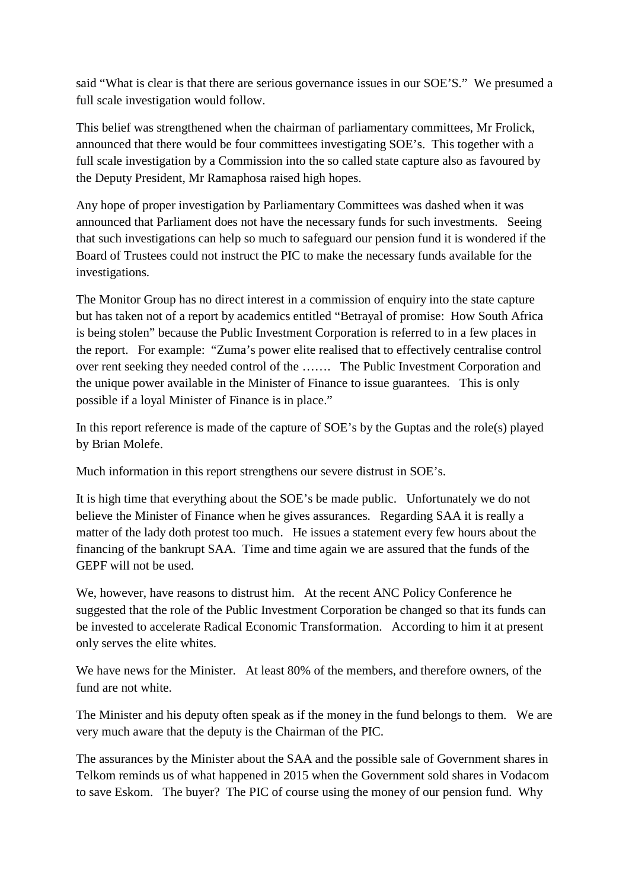said "What is clear is that there are serious governance issues in our SOE'S." We presumed a full scale investigation would follow.

This belief was strengthened when the chairman of parliamentary committees, Mr Frolick, announced that there would be four committees investigating SOE's. This together with a full scale investigation by a Commission into the so called state capture also as favoured by the Deputy President, Mr Ramaphosa raised high hopes.

Any hope of proper investigation by Parliamentary Committees was dashed when it was announced that Parliament does not have the necessary funds for such investments. Seeing that such investigations can help so much to safeguard our pension fund it is wondered if the Board of Trustees could not instruct the PIC to make the necessary funds available for the investigations.

The Monitor Group has no direct interest in a commission of enquiry into the state capture but has taken not of a report by academics entitled "Betrayal of promise: How South Africa is being stolen" because the Public Investment Corporation is referred to in a few places in the report. For example: "Zuma's power elite realised that to effectively centralise control over rent seeking they needed control of the ……. The Public Investment Corporation and the unique power available in the Minister of Finance to issue guarantees. This is only possible if a loyal Minister of Finance is in place."

In this report reference is made of the capture of SOE's by the Guptas and the role(s) played by Brian Molefe.

Much information in this report strengthens our severe distrust in SOE's.

It is high time that everything about the SOE's be made public. Unfortunately we do not believe the Minister of Finance when he gives assurances. Regarding SAA it is really a matter of the lady doth protest too much. He issues a statement every few hours about the financing of the bankrupt SAA. Time and time again we are assured that the funds of the GEPF will not be used.

We, however, have reasons to distrust him. At the recent ANC Policy Conference he suggested that the role of the Public Investment Corporation be changed so that its funds can be invested to accelerate Radical Economic Transformation. According to him it at present only serves the elite whites.

We have news for the Minister. At least 80% of the members, and therefore owners, of the fund are not white.

The Minister and his deputy often speak as if the money in the fund belongs to them. We are very much aware that the deputy is the Chairman of the PIC.

The assurances by the Minister about the SAA and the possible sale of Government shares in Telkom reminds us of what happened in 2015 when the Government sold shares in Vodacom to save Eskom. The buyer? The PIC of course using the money of our pension fund. Why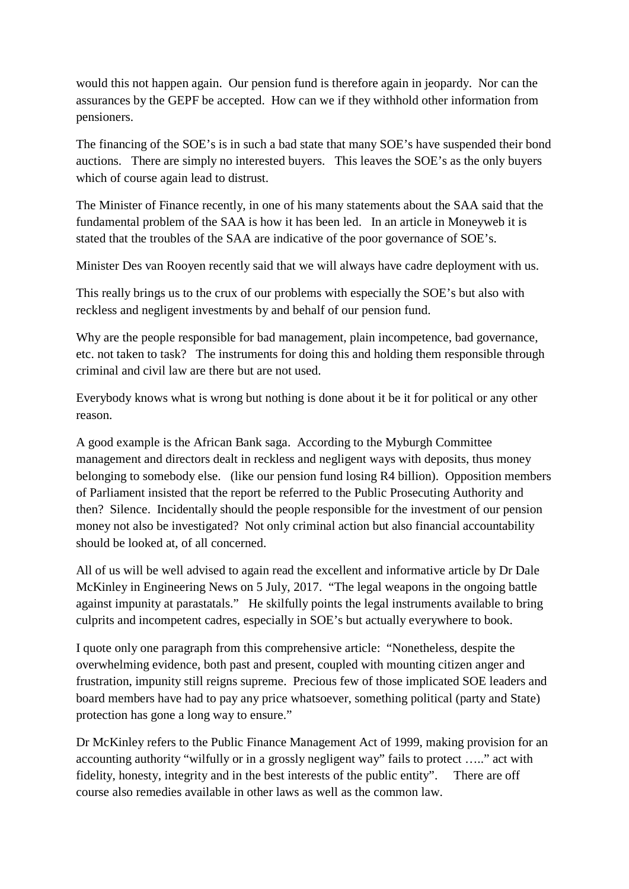would this not happen again. Our pension fund is therefore again in jeopardy. Nor can the assurances by the GEPF be accepted. How can we if they withhold other information from pensioners.

The financing of the SOE's is in such a bad state that many SOE's have suspended their bond auctions. There are simply no interested buyers. This leaves the SOE's as the only buyers which of course again lead to distrust.

The Minister of Finance recently, in one of his many statements about the SAA said that the fundamental problem of the SAA is how it has been led. In an article in Moneyweb it is stated that the troubles of the SAA are indicative of the poor governance of SOE's.

Minister Des van Rooyen recently said that we will always have cadre deployment with us.

This really brings us to the crux of our problems with especially the SOE's but also with reckless and negligent investments by and behalf of our pension fund.

Why are the people responsible for bad management, plain incompetence, bad governance, etc. not taken to task? The instruments for doing this and holding them responsible through criminal and civil law are there but are not used.

Everybody knows what is wrong but nothing is done about it be it for political or any other reason.

A good example is the African Bank saga. According to the Myburgh Committee management and directors dealt in reckless and negligent ways with deposits, thus money belonging to somebody else. (like our pension fund losing R4 billion). Opposition members of Parliament insisted that the report be referred to the Public Prosecuting Authority and then? Silence. Incidentally should the people responsible for the investment of our pension money not also be investigated? Not only criminal action but also financial accountability should be looked at, of all concerned.

All of us will be well advised to again read the excellent and informative article by Dr Dale McKinley in Engineering News on 5 July, 2017. "The legal weapons in the ongoing battle against impunity at parastatals." He skilfully points the legal instruments available to bring culprits and incompetent cadres, especially in SOE's but actually everywhere to book.

I quote only one paragraph from this comprehensive article: "Nonetheless, despite the overwhelming evidence, both past and present, coupled with mounting citizen anger and frustration, impunity still reigns supreme. Precious few of those implicated SOE leaders and board members have had to pay any price whatsoever, something political (party and State) protection has gone a long way to ensure."

Dr McKinley refers to the Public Finance Management Act of 1999, making provision for an accounting authority "wilfully or in a grossly negligent way" fails to protect ….." act with fidelity, honesty, integrity and in the best interests of the public entity". There are off course also remedies available in other laws as well as the common law.